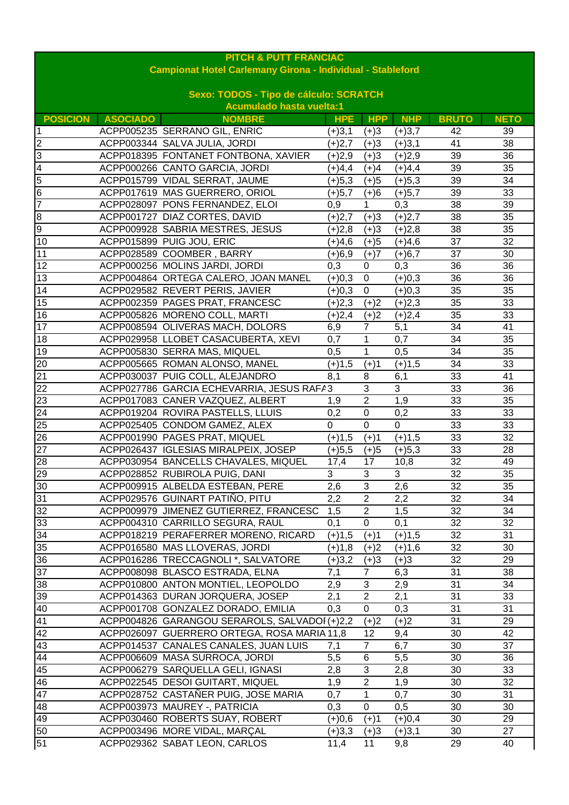| <b>PITCH &amp; PUTT FRANCIAC</b>                                  |                                        |                                               |                |                |                |              |             |  |  |
|-------------------------------------------------------------------|----------------------------------------|-----------------------------------------------|----------------|----------------|----------------|--------------|-------------|--|--|
| <b>Campionat Hotel Carlemany Girona - Individual - Stableford</b> |                                        |                                               |                |                |                |              |             |  |  |
|                                                                   | Sexo: TODOS - Tipo de cálculo: SCRATCH |                                               |                |                |                |              |             |  |  |
|                                                                   |                                        | <b>Acumulado hasta vuelta:1</b>               |                |                |                |              |             |  |  |
| <b>POSICION</b>                                                   | <b>ASOCIADO</b>                        | <b>NOMBRE</b>                                 | <b>HPE</b>     | <b>HPP</b>     | <b>NHP</b>     | <b>BRUTO</b> | <b>NETO</b> |  |  |
| 1                                                                 |                                        | ACPP005235 SERRANO GIL, ENRIC                 | $(+)3,1$       | $(+)3$         | $(+)3,7$       | 42           | 39          |  |  |
| 2                                                                 |                                        | ACPP003344 SALVA JULIA, JORDI                 | $(+)2,7$       | $(+)3$         | $(+)3,1$       | 41           | 38          |  |  |
| $\overline{3}$                                                    |                                        | ACPP018395 FONTANET FONTBONA, XAVIER          | $(+)2,9$       | $(+)3$         | $(+)2,9$       | 39           | 36          |  |  |
| 4                                                                 |                                        | ACPP000266 CANTO GARCIA, JORDI                | $(+)4,4$       | $(+)4$         | $(+)4,4$       | 39           | 35          |  |  |
| 5                                                                 |                                        | ACPP015799 VIDAL SERRAT, JAUME                | $(+)5,3$       | $(+)5$         | $(+)5,3$       | 39           | 34          |  |  |
| 6                                                                 |                                        | ACPP017619 MAS GUERRERO, ORIOL                | $(+)5,7$       | $(+)6$         | $(+)5,7$       | 39           | 33          |  |  |
| $\overline{7}$                                                    |                                        | ACPP028097 PONS FERNANDEZ, ELOI               | 0,9            | 1              | 0,3            | 38           | 39          |  |  |
| 8                                                                 |                                        | ACPP001727 DIAZ CORTES, DAVID                 | $(+)2,7$       | $(+)3$         | $(+)2,7$       | 38           | 35          |  |  |
| 9                                                                 |                                        | ACPP009928 SABRIA MESTRES, JESUS              | $(+)2,8$       | $(+)3$         | $(+)2,8$       | 38           | 35          |  |  |
| 10                                                                |                                        | ACPP015899 PUIG JOU, ERIC                     | (+)4,6         | $(+)5$         | $(+)4,6$       | 37           | 32          |  |  |
| 11                                                                |                                        | ACPP028589 COOMBER, BARRY                     | $(+)6,9$       | $(+)7$         | $(+)6,7$       | 37           | 30          |  |  |
| 12                                                                |                                        | ACPP000256 MOLINS JARDI, JORDI                | 0,3            | $\pmb{0}$      | 0,3            | 36           | 36          |  |  |
| 13                                                                |                                        | ACPP004864 ORTEGA CALERO, JOAN MANEL          | $(+)0,3$       | $\pmb{0}$      | $(+)0,3$       | 36           | 36          |  |  |
| 14                                                                |                                        | ACPP029582 REVERT PERIS, JAVIER               | $(+)0,3$       | $\pmb{0}$      | $(+)0,3$       | 35           | 35          |  |  |
| 15                                                                |                                        | ACPP002359 PAGES PRAT, FRANCESC               | $(+)2,3$       | $(+)2$         | $(+)2,3$       | 35           | 33          |  |  |
| 16                                                                |                                        | ACPP005826 MORENO COLL, MARTI                 | $(+)2,4$       | $(+)2$         | $(+)2,4$       | 35           | 33          |  |  |
| 17                                                                |                                        | ACPP008594 OLIVERAS MACH, DOLORS              | 6,9            | $\overline{7}$ | 5,1            | 34           | 41          |  |  |
| 18                                                                |                                        | ACPP029958 LLOBET CASACUBERTA, XEVI           | 0,7            | 1              | 0,7            | 34           | 35          |  |  |
| 19                                                                |                                        | ACPP005830 SERRA MAS, MIQUEL                  | 0,5            | 1              | 0,5            | 34           | 35          |  |  |
| 20                                                                |                                        | ACPP005665 ROMAN ALONSO, MANEL                | $(+)1,5$       | $(+)1$         | $(+)1,5$       | 34           | 33          |  |  |
| 21                                                                |                                        | ACPP030037 PUIG COLL, ALEJANDRO               | 8,1            | 8              | 6,1            | 33           | 41          |  |  |
| 22                                                                |                                        | ACPP027786 GARCIA ECHEVARRIA, JESUS RAFA3     |                | 3              | 3              | 33           | 36          |  |  |
| 23                                                                |                                        | ACPP017083 CANER VAZQUEZ, ALBERT              | 1,9            | $\overline{2}$ | 1,9            | 33           | 35          |  |  |
| 24                                                                |                                        | ACPP019204 ROVIRA PASTELLS, LLUIS             | 0,2            | $\mathbf 0$    | 0,2            | 33           | 33          |  |  |
| 25                                                                |                                        | ACPP025405 CONDOM GAMEZ, ALEX                 | $\overline{0}$ | $\overline{0}$ | $\overline{0}$ | 33           | 33          |  |  |
| 26                                                                |                                        | ACPP001990 PAGES PRAT, MIQUEL                 | $(+)1,5$       | $(+)1$         | $(+)1,5$       | 33           | 32          |  |  |
| $\overline{27}$                                                   |                                        | ACPP026437 IGLESIAS MIRALPEIX, JOSEP          | $(+)5,5$       | $(+)5$         | $(+)5,3$       | 33           | 28          |  |  |
| 28                                                                |                                        | ACPP030954 BANCELLS CHAVALES, MIQUEL          | 17,4           | 17             | 10,8           | 32           | 49          |  |  |
| 29                                                                |                                        | ACPP028852 RUBIROLA PUIG, DANI                | 3              | 3              | 3              | 32           | 35          |  |  |
| 30                                                                |                                        | ACPP009915 ALBELDA ESTEBAN, PERE              | 2,6            | 3              | 2,6            | 32           | 35          |  |  |
| 31                                                                |                                        | ACPP029576 GUINART PATIÑO, PITU               | 2,2            | $\overline{2}$ | 2,2            | 32           | 34          |  |  |
| 32                                                                |                                        | ACPP009979 JIMENEZ GUTIERREZ, FRANCESC        | 1,5            | $\overline{c}$ | 1,5            | 32           | 34          |  |  |
| 33                                                                |                                        | ACPP004310 CARRILLO SEGURA, RAUL              | 0,1            | $\pmb{0}$      | 0,1            | 32           | 32          |  |  |
| 34                                                                |                                        | ACPP018219 PERAFERRER MORENO, RICARD          | $(+)1,5$       | $(+)1$         | $(+)1,5$       | 32           | 31          |  |  |
| 35                                                                |                                        | ACPP016580 MAS LLOVERAS, JORDI                | $(+)1,8$       | $(+)2$         | $(+)1,6$       | 32           | 30          |  |  |
| 36                                                                |                                        | ACPP016286 TRECCAGNOLI *, SALVATORE           | $(+)3,2$       | $(+)3$         | $(+)3$         | 32           | 29          |  |  |
| 37                                                                |                                        | ACPP008098 BLASCO ESTRADA, ELNA               | 7,1            | $\overline{7}$ | 6,3            | 31           | 38          |  |  |
| 38                                                                |                                        | ACPP010800 ANTON MONTIEL, LEOPOLDO            | 2,9            | $\mathfrak{S}$ | 2,9            | 31           | 34          |  |  |
| 39                                                                |                                        | ACPP014363 DURAN JORQUERA, JOSEP              | 2,1            | $\overline{2}$ | 2,1            | 31           | 33          |  |  |
| 40                                                                |                                        | ACPP001708 GONZALEZ DORADO, EMILIA            | 0,3            | $\pmb{0}$      | 0,3            | 31           | 31          |  |  |
| 41                                                                |                                        | ACPP004826 GARANGOU SERAROLS, SALVADOI (+)2,2 |                | $(+)2$         | $(+)2$         | 31           | 29          |  |  |
| 42                                                                |                                        | ACPP026097 GUERRERO ORTEGA, ROSA MARIA 11,8   |                | 12             | 9,4            | 30           | 42          |  |  |
| 43                                                                |                                        | ACPP014537 CANALES CANALES, JUAN LUIS         | 7,1            | 7              | 6,7            | 30           | 37          |  |  |
| 44                                                                |                                        | ACPP006609 MASA SURROCA, JORDI                | 5,5            | 6              | 5,5            | 30           | 36          |  |  |
| 45                                                                |                                        | ACPP006279 SARQUELLA GELI, IGNASI             | 2,8            | 3              | 2,8            | 30           | 33          |  |  |
| 46                                                                |                                        | ACPP022545 DESOI GUITART, MIQUEL              | 1,9            | $\overline{2}$ | 1,9            | 30           | 32          |  |  |
| 47                                                                |                                        | ACPP028752 CASTANER PUIG, JOSE MARIA          | 0,7            | 1              | 0,7            | 30           | 31          |  |  |
| 48                                                                |                                        | ACPP003973 MAUREY -, PATRICIA                 | 0,3            | $\pmb{0}$      | 0,5            | 30           | 30          |  |  |
| 49                                                                |                                        | ACPP030460 ROBERTS SUAY, ROBERT               | $(+)0,6$       | $(+)1$         | $(+)0,4$       | 30           | 29          |  |  |
| 50                                                                |                                        | ACPP003496 MORE VIDAL, MARÇAL                 | $(+)3,3$       | $(+)3$         | $(+)3,1$       | 30           | 27          |  |  |
| 51                                                                |                                        | ACPP029362 SABAT LEON, CARLOS                 | 11,4           | 11             | 9,8            | 29           | 40          |  |  |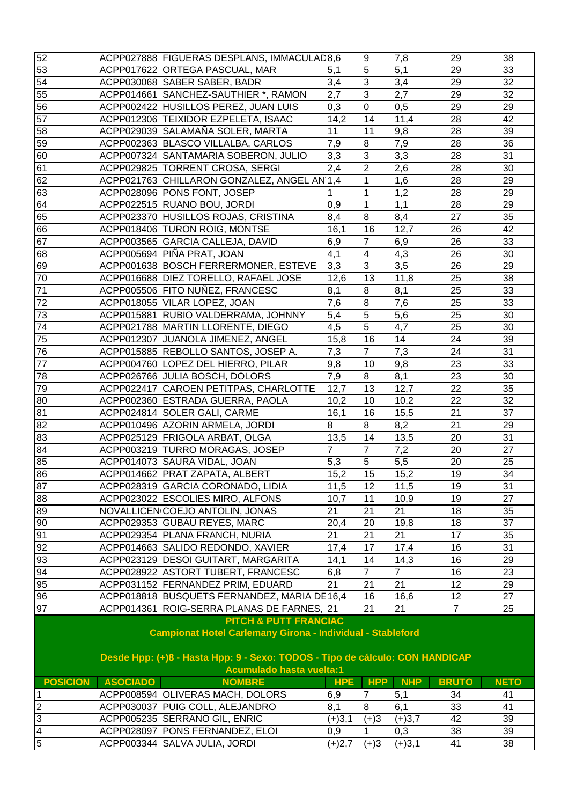| 52                                                                                                                                                                                                                       |                 | ACPP027888 FIGUERAS DESPLANS, IMMACULAD 8,6                                       |                | 9                       | 7,8                    | 29              | 38              |  |  |
|--------------------------------------------------------------------------------------------------------------------------------------------------------------------------------------------------------------------------|-----------------|-----------------------------------------------------------------------------------|----------------|-------------------------|------------------------|-----------------|-----------------|--|--|
| 53                                                                                                                                                                                                                       |                 | ACPP017622 ORTEGA PASCUAL, MAR                                                    | 5,1            | 5                       | 5,1                    | 29              | 33              |  |  |
| 54                                                                                                                                                                                                                       |                 | ACPP030068 SABER SABER, BADR                                                      | 3,4            | 3                       | 3,4                    | 29              | 32              |  |  |
| 55                                                                                                                                                                                                                       |                 | ACPP014661 SANCHEZ-SAUTHIER *, RAMON                                              | 2,7            | $\overline{3}$          | 2,7                    | 29              | $\overline{32}$ |  |  |
| 56                                                                                                                                                                                                                       |                 | ACPP002422 HUSILLOS PEREZ, JUAN LUIS                                              | 0,3            | $\mathbf 0$             | 0,5                    | 29              | 29              |  |  |
| 57                                                                                                                                                                                                                       |                 | ACPP012306 TEIXIDOR EZPELETA, ISAAC                                               | 14,2           | 14                      | 11,4                   | 28              | 42              |  |  |
| 58                                                                                                                                                                                                                       |                 | ACPP029039 SALAMAÑA SOLER, MARTA                                                  | 11             | 11                      | 9,8                    | 28              | 39              |  |  |
| 59                                                                                                                                                                                                                       |                 | ACPP002363 BLASCO VILLALBA, CARLOS                                                | 7,9            | 8                       | 7,9                    | 28              | 36              |  |  |
| 60                                                                                                                                                                                                                       |                 | ACPP007324 SANTAMARIA SOBERON, JULIO                                              | 3,3            | $\overline{3}$          | 3,3                    | 28              | 31              |  |  |
| 61                                                                                                                                                                                                                       |                 | ACPP029825 TORRENT CROSA, SERGI                                                   | 2,4            | $\overline{2}$          | 2,6                    | 28              | 30              |  |  |
| 62                                                                                                                                                                                                                       |                 | ACPP021763 CHILLARON GONZALEZ, ANGEL AN 1,4                                       |                | 1                       | 1,6                    | 28              | 29              |  |  |
| 63                                                                                                                                                                                                                       |                 | ACPP028096 PONS FONT, JOSEP                                                       | 1              | 1                       | 1,2                    | 28              | 29              |  |  |
| 64                                                                                                                                                                                                                       |                 | ACPP022515 RUANO BOU, JORDI                                                       | 0,9            | $\mathbf{1}$            | 1,1                    | 28              | 29              |  |  |
| 65                                                                                                                                                                                                                       |                 | ACPP023370 HUSILLOS ROJAS, CRISTINA                                               | 8,4            | $\,8\,$                 | 8,4                    | 27              | 35              |  |  |
| 66                                                                                                                                                                                                                       |                 | ACPP018406 TURON ROIG, MONTSE                                                     | 16,1           | 16                      | 12,7                   | 26              | 42              |  |  |
| 67                                                                                                                                                                                                                       |                 | ACPP003565 GARCIA CALLEJA, DAVID                                                  | 6,9            | $\overline{7}$          | 6,9                    | 26              | 33              |  |  |
| 68                                                                                                                                                                                                                       |                 | ACPP005694 PIÑA PRAT, JOAN                                                        | 4,1            | $\overline{\mathbf{4}}$ | 4,3                    | 26              | $\overline{30}$ |  |  |
| 69                                                                                                                                                                                                                       |                 | ACPP001638 BOSCH FERRERMONER, ESTEVE                                              | 3,3            | 3                       | 3,5                    | 26              | 29              |  |  |
| 70                                                                                                                                                                                                                       |                 | ACPP016688 DIEZ TORELLO, RAFAEL JOSE                                              | 12,6           | 13                      | 11,8                   | 25              | 38              |  |  |
| 71                                                                                                                                                                                                                       |                 | ACPP005506 FITO NUÑEZ, FRANCESC                                                   | 8,1            | $\, 8$                  | 8,1                    | 25              | 33              |  |  |
| 72                                                                                                                                                                                                                       |                 | ACPP018055 VILAR LOPEZ, JOAN                                                      | 7,6            | 8                       | 7,6                    | 25              | 33              |  |  |
| 73                                                                                                                                                                                                                       |                 | ACPP015881 RUBIO VALDERRAMA, JOHNNY                                               | 5,4            | 5                       | 5,6                    | 25              | 30              |  |  |
| 74                                                                                                                                                                                                                       |                 | ACPP021788 MARTIN LLORENTE, DIEGO                                                 | 4,5            | $\overline{5}$          | 4,7                    | 25              | 30              |  |  |
| 75                                                                                                                                                                                                                       |                 | ACPP012307 JUANOLA JIMENEZ, ANGEL                                                 | 15,8           | 16                      | 14                     | 24              | 39              |  |  |
| 76                                                                                                                                                                                                                       |                 | ACPP015885 REBOLLO SANTOS, JOSEP A.                                               | 7,3            | $\overline{7}$          | 7,3                    | 24              | 31              |  |  |
| 77                                                                                                                                                                                                                       |                 | ACPP004760 LOPEZ DEL HIERRO, PILAR                                                | 9,8            | 10                      | 9,8                    | 23              | 33              |  |  |
| 78                                                                                                                                                                                                                       |                 | ACPP026766 JULIA BOSCH, DOLORS                                                    | 7,9            | $\,8\,$                 | 8,1                    | 23              | 30              |  |  |
| 79                                                                                                                                                                                                                       |                 | ACPP022417 CAROEN PETITPAS, CHARLOTTE                                             | 12,7           | 13                      | 12,7                   | 22              | 35              |  |  |
| 80                                                                                                                                                                                                                       |                 | ACPP002360 ESTRADA GUERRA, PAOLA                                                  | 10,2           | 10                      | 10,2                   | 22              | 32              |  |  |
| 81                                                                                                                                                                                                                       |                 | ACPP024814 SOLER GALI, CARME                                                      | 16,1           | 16                      | 15,5                   | $\overline{21}$ | $\overline{37}$ |  |  |
| 82                                                                                                                                                                                                                       |                 | ACPP010496 AZORIN ARMELA, JORDI                                                   | 8              | 8                       | 8,2                    | 21              | 29              |  |  |
| 83                                                                                                                                                                                                                       |                 | ACPP025129 FRIGOLA ARBAT, OLGA                                                    | 13,5           | 14                      | 13,5                   | 20              | $\overline{31}$ |  |  |
| 84                                                                                                                                                                                                                       |                 | ACPP003219 TURRO MORAGAS, JOSEP                                                   | $\overline{7}$ | $\overline{7}$          | 7,2                    | 20              | 27              |  |  |
| 85                                                                                                                                                                                                                       |                 | ACPP014073 SAURA VIDAL, JOAN                                                      | 5,3            | $\overline{5}$          | 5,5                    | 20              | 25              |  |  |
| 86                                                                                                                                                                                                                       |                 | ACPP014662 PRAT ZAPATA, ALBERT                                                    | 15,2           | 15                      | 15,2                   | 19              | 34              |  |  |
| 87                                                                                                                                                                                                                       |                 | ACPP028319 GARCIA CORONADO, LIDIA                                                 | 11,5           | 12                      | 11,5                   | 19              | 31              |  |  |
| 88                                                                                                                                                                                                                       |                 | ACPP023022 ESCOLIES MIRO, ALFONS                                                  | 10,7           | 11                      | 10,9                   | 19              | 27              |  |  |
| 89                                                                                                                                                                                                                       |                 | NOVALLICEN COEJO ANTOLIN, JONAS                                                   | 21             | 21                      | 21                     | 18              | 35              |  |  |
| 90                                                                                                                                                                                                                       |                 | ACPP029353 GUBAU REYES, MARC                                                      | 20,4           | 20                      | 19,8                   | 18              | 37              |  |  |
| 91                                                                                                                                                                                                                       |                 | ACPP029354 PLANA FRANCH, NURIA                                                    | 21             | 21                      | 21                     | 17              | 35              |  |  |
|                                                                                                                                                                                                                          |                 |                                                                                   |                |                         |                        |                 |                 |  |  |
| 92                                                                                                                                                                                                                       |                 | ACPP014663 SALIDO REDONDO, XAVIER<br>ACPP023129 DESOI GUITART, MARGARITA          | 17,4           | 17<br>14                | 17,4                   | 16<br>16        | 31              |  |  |
| 93<br>94                                                                                                                                                                                                                 |                 | ACPP028922 ASTORT TUBERT, FRANCESC                                                | 14,1           | $\overline{7}$          | 14,3<br>$\overline{7}$ | 16              | 29<br>23        |  |  |
|                                                                                                                                                                                                                          |                 |                                                                                   | 6,8<br>21      | 21                      | 21                     |                 |                 |  |  |
| 95<br>96                                                                                                                                                                                                                 |                 | ACPP031152 FERNANDEZ PRIM, EDUARD<br>ACPP018818 BUSQUETS FERNANDEZ, MARIA DE 16,4 |                | 16                      |                        | 12<br>12        | 29<br>27        |  |  |
| 97                                                                                                                                                                                                                       |                 |                                                                                   |                |                         | 16,6                   | $\overline{7}$  |                 |  |  |
|                                                                                                                                                                                                                          |                 | ACPP014361 ROIG-SERRA PLANAS DE FARNES, 21                                        |                | 21                      | 21                     |                 | 25              |  |  |
| <b>PITCH &amp; PUTT FRANCIAC</b><br><b>Campionat Hotel Carlemany Girona - Individual - Stableford</b><br>Desde Hpp: (+)8 - Hasta Hpp: 9 - Sexo: TODOS - Tipo de cálculo: CON HANDICAP<br><b>Acumulado hasta vuelta:1</b> |                 |                                                                                   |                |                         |                        |                 |                 |  |  |
| <b>POSICION</b>                                                                                                                                                                                                          | <b>ASOCIADO</b> | <b>NOMBRE</b>                                                                     | <b>HPE</b>     | <b>HPP</b>              | <b>NHP</b>             | <b>BRUTO</b>    | <b>NETO</b>     |  |  |
| ∣1                                                                                                                                                                                                                       |                 | ACPP008594 OLIVERAS MACH, DOLORS                                                  | 6,9            | 7                       | 5,1                    | 34              | 41              |  |  |
| $\overline{2}$                                                                                                                                                                                                           |                 | ACPP030037 PUIG COLL, ALEJANDRO                                                   | 8,1            | 8                       | 6,1                    | 33              | 41              |  |  |
| $\mathbf{3}$                                                                                                                                                                                                             |                 | ACPP005235 SERRANO GIL, ENRIC                                                     | $(+)3,1$       | $(+)3$                  | $(+)3,7$               | 42              | 39              |  |  |
| $\overline{4}$                                                                                                                                                                                                           |                 | ACPP028097 PONS FERNANDEZ, ELOI                                                   | 0,9            | 1                       | 0,3                    | 38              | 39              |  |  |
| $\overline{5}$                                                                                                                                                                                                           |                 | ACPP003344 SALVA JULIA, JORDI                                                     | $(+)2,7$       | $(+)3$                  | $(+)3,1$               | 41              | 38              |  |  |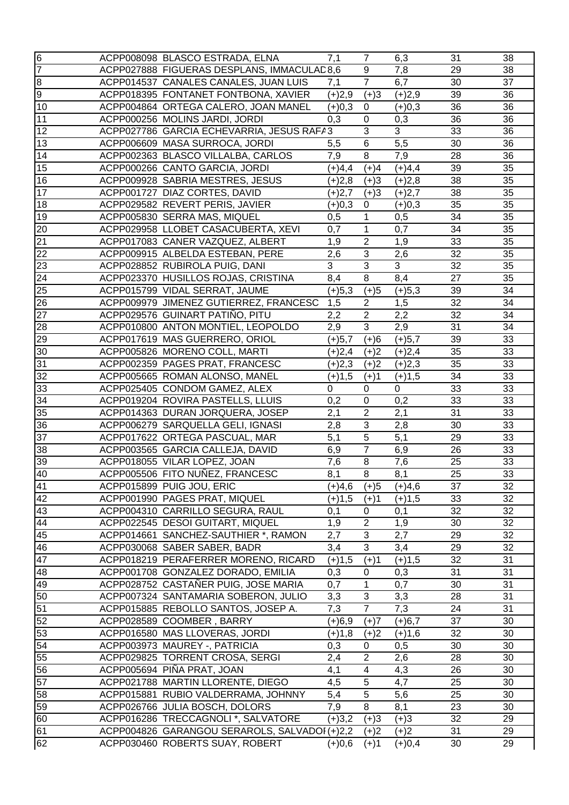| $\overline{6}$ | ACPP008098 BLASCO ESTRADA, ELNA               | 7,1              | $\overline{7}$                     | 6,3         | 31              | 38              |
|----------------|-----------------------------------------------|------------------|------------------------------------|-------------|-----------------|-----------------|
| $\overline{7}$ | ACPP027888 FIGUERAS DESPLANS, IMMACULAD8,6    |                  | 9                                  | 7,8         | 29              | 38              |
| $\infty$       | ACPP014537 CANALES CANALES, JUAN LUIS         | 7,1              | $\overline{7}$                     | 6,7         | 30              | 37              |
| o              | ACPP018395 FONTANET FONTBONA, XAVIER          | $(+)2,9$         | $(+)3$                             | $(+)2,9$    | 39              | 36              |
| 10             | ACPP004864 ORTEGA CALERO, JOAN MANEL          | $(+)0,3$         | $\mathbf 0$                        | $(+)0,3$    | 36              | 36              |
| 11             | ACPP000256 MOLINS JARDI, JORDI                | 0,3              | 0                                  | 0,3         | 36              | 36              |
| 12             | ACPP027786 GARCIA ECHEVARRIA, JESUS RAFA3     |                  | 3                                  | 3           | 33              | 36              |
| 13             | ACPP006609 MASA SURROCA, JORDI                | 5,5              | 6                                  | 5,5         | 30              | 36              |
| 14             | ACPP002363 BLASCO VILLALBA, CARLOS            | 7,9              | 8                                  | 7,9         | 28              | 36              |
| 15             | ACPP000266 CANTO GARCIA, JORDI                | $(+)4,4$         | $(+)4$                             | $(+)4,4$    | 39              | 35              |
| 16             | ACPP009928 SABRIA MESTRES, JESUS              | $(+)2,8$         | $(+)3$                             | $(+)2,8$    | 38              | 35              |
| 17             | ACPP001727 DIAZ CORTES, DAVID                 | $(+)2,7$         | $(+)3$                             | $(+)2,7$    | $\overline{38}$ | $\overline{35}$ |
| 18             | ACPP029582 REVERT PERIS, JAVIER               | $(+)0,3$         | 0                                  | $(+)0,3$    | $\overline{35}$ | $\overline{35}$ |
| 19             | ACPP005830 SERRA MAS, MIQUEL                  | 0,5              | $\mathbf{1}$                       | 0,5         | 34              | 35              |
| 20             | ACPP029958 LLOBET CASACUBERTA, XEVI           | $0,\overline{7}$ | $\mathbf 1$                        | 0,7         | 34              | 35              |
| 21             | ACPP017083 CANER VAZQUEZ, ALBERT              | 1,9              | $\overline{2}$                     | 1,9         | 33              | 35              |
| 22             | ACPP009915 ALBELDA ESTEBAN, PERE              | 2,6              | 3                                  | 2,6         | 32              | 35              |
| 23             | ACPP028852 RUBIROLA PUIG, DANI                | 3                | $\overline{3}$                     | 3           | 32              | 35              |
| 24             | ACPP023370 HUSILLOS ROJAS, CRISTINA           | 8,4              | 8                                  | 8,4         | $\overline{27}$ | 35              |
| 25             | ACPP015799 VIDAL SERRAT, JAUME                | $(+)5,3$         | $(+)5$                             | $(+)5,3$    | 39              | 34              |
| 26             | ACPP009979 JIMENEZ GUTIERREZ, FRANCESC        | 1,5              | $\overline{2}$                     | 1,5         | 32              | 34              |
|                |                                               |                  |                                    |             | 32              |                 |
| 27             | ACPP029576 GUINART PATIÑO, PITU               | 2,2              | $\boldsymbol{2}$<br>$\overline{3}$ | 2,2         |                 | 34              |
| 28             | ACPP010800 ANTON MONTIEL, LEOPOLDO            | 2,9              |                                    | 2,9         | 31              | 34              |
| 29             | ACPP017619 MAS GUERRERO, ORIOL                | (+)5,7           | $(+)6$                             | $(+)5,7$    | 39              | 33              |
| 30             | ACPP005826 MORENO COLL, MARTI                 | $(+)2,4$         | $(+)2$                             | $(+)2,4$    | 35              | 33              |
| 31             | ACPP002359 PAGES PRAT, FRANCESC               | $(+)2,3$         | $(+)2$                             | $(+)2,3$    | 35              | 33              |
| 32             | ACPP005665 ROMAN ALONSO, MANEL                | $(+)1,5$         | $(+)1$                             | $(+)1,5$    | 34              | 33              |
| 33             | ACPP025405 CONDOM GAMEZ, ALEX                 | $\mathbf 0$      | 0                                  | $\mathbf 0$ | 33              | 33              |
| 34             | ACPP019204 ROVIRA PASTELLS, LLUIS             | 0,2              | $\mathbf 0$                        | 0,2         | 33              | 33              |
| 35             | ACPP014363 DURAN JORQUERA, JOSEP              | 2,1              | $\overline{c}$                     | 2,1         | 31              | 33              |
| 36             | ACPP006279 SARQUELLA GELI, IGNASI             | 2,8              | $\overline{3}$                     | 2,8         | 30              | 33              |
| 37             | ACPP017622 ORTEGA PASCUAL, MAR                | 5,1              | $\overline{5}$                     | 5,1         | 29              | 33              |
| 38             | ACPP003565 GARCIA CALLEJA, DAVID              | 6,9              | $\overline{7}$                     | 6,9         | 26              | 33              |
| 39             | ACPP018055 VILAR LOPEZ, JOAN                  | 7,6              | 8                                  | 7,6         | 25              | 33              |
| 40             | ACPP005506 FITO NUÑEZ, FRANCESC               | 8,1              | 8                                  | 8,1         | 25              | 33              |
| 41             | ACPP015899 PUIG JOU, ERIC                     | (+)4,6           | $(+)5$                             | $(+)4,6$    | 37              | 32              |
| 42             | ACPP001990 PAGES PRAT, MIQUEL                 | (+)1,5           | $(+)1$                             | $(+)1,5$    | 33              | 32              |
| 43             | ACPP004310 CARRILLO SEGURA, RAUL              | 0,1              | 0                                  | 0,1         | 32              | 32              |
| 44             | ACPP022545 DESOI GUITART, MIQUEL              | 1,9              | $\overline{c}$                     | 1,9         | 30              | 32              |
| 45             | ACPP014661 SANCHEZ-SAUTHIER *, RAMON          | 2,7              | 3                                  | 2,7         | 29              | 32              |
| 46             | ACPP030068 SABER SABER, BADR                  | 3,4              | 3                                  | 3,4         | 29              | 32              |
| 47             | ACPP018219 PERAFERRER MORENO, RICARD          | $(+)1,5$         | $(+)1$                             | $(+)1,5$    | 32              | 31              |
| 48             | ACPP001708 GONZALEZ DORADO, EMILIA            | 0,3              | 0                                  | 0,3         | 31              | 31              |
| 49             | ACPP028752 CASTAÑER PUIG, JOSE MARIA          | 0,7              | 1                                  | 0,7         | 30              | 31              |
| 50             | ACPP007324 SANTAMARIA SOBERON, JULIO          | 3,3              | 3                                  | 3,3         | 28              | 31              |
| 51             | ACPP015885 REBOLLO SANTOS, JOSEP A.           | 7,3              | $\overline{7}$                     | 7,3         | 24              | 31              |
| 52             | ACPP028589 COOMBER, BARRY                     | $(+)6,9$         | $(+)7$                             | $(+)6,7$    | 37              | 30              |
| 53             | ACPP016580 MAS LLOVERAS, JORDI                | $(+)1,8$         | $(+)2$                             | $(+)1,6$    | 32              | 30              |
| 54             | ACPP003973 MAUREY -, PATRICIA                 | 0,3              | 0                                  | 0,5         | 30              | 30              |
| 55             | ACPP029825 TORRENT CROSA, SERGI               | 2,4              | $\overline{c}$                     | 2,6         | 28              | 30              |
| 56             | ACPP005694 PIÑA PRAT, JOAN                    | 4,1              | $\overline{4}$                     | 4,3         | 26              | 30              |
| 57             | ACPP021788 MARTIN LLORENTE, DIEGO             | 4,5              | $\sqrt{5}$                         | 4,7         | 25              | 30              |
| 58             | ACPP015881 RUBIO VALDERRAMA, JOHNNY           | 5,4              | $\overline{5}$                     | 5,6         | 25              | 30              |
| 59             | ACPP026766 JULIA BOSCH, DOLORS                | 7,9              | 8                                  | 8,1         | 23              | 30              |
| 60             | ACPP016286 TRECCAGNOLI *, SALVATORE           | $(+)3,2$         | $(+)3$                             | $(+)3$      | 32              | 29              |
| 61             | ACPP004826 GARANGOU SERAROLS, SALVADOI (+)2,2 |                  | $(+)2$                             | $(+)2$      | 31              | 29              |
| 62             | ACPP030460 ROBERTS SUAY, ROBERT               | $(+)0,6$         | $(+)1$                             | $(+)0,4$    | 30              | 29              |
|                |                                               |                  |                                    |             |                 |                 |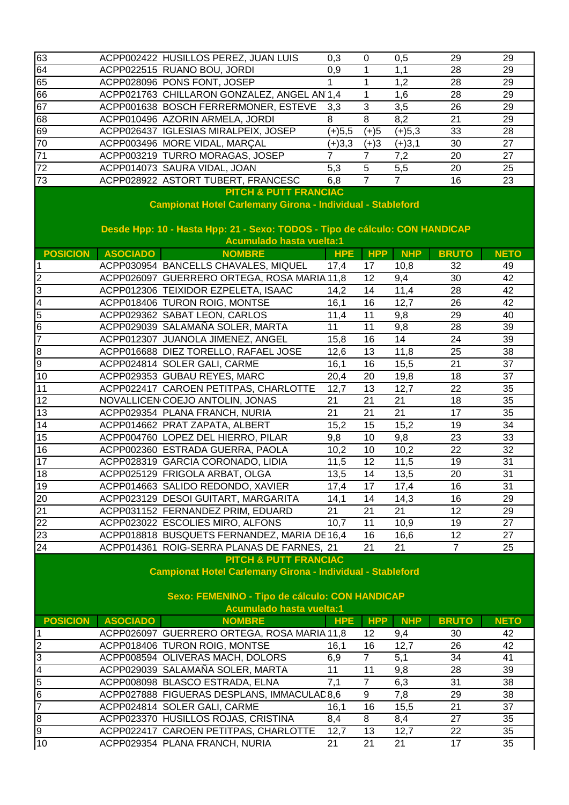| 63                                                                                                                                                                                                                      |                 | ACPP002422 HUSILLOS PEREZ, JUAN LUIS           | 0,3        | 0                | 0,5            | 29              | 29          |  |  |
|-------------------------------------------------------------------------------------------------------------------------------------------------------------------------------------------------------------------------|-----------------|------------------------------------------------|------------|------------------|----------------|-----------------|-------------|--|--|
| 64                                                                                                                                                                                                                      |                 | ACPP022515 RUANO BOU, JORDI                    | 0,9        | $\mathbf{1}$     | 1,1            | 28              | 29          |  |  |
| 65                                                                                                                                                                                                                      |                 | ACPP028096 PONS FONT, JOSEP                    |            | $\mathbf{1}$     | 1,2            | 28              | 29          |  |  |
| 66                                                                                                                                                                                                                      |                 | ACPP021763 CHILLARON GONZALEZ, ANGEL AN 1,4    |            | $\mathbf{1}$     | 1,6            | 28              | 29          |  |  |
| 67                                                                                                                                                                                                                      |                 | ACPP001638 BOSCH FERRERMONER, ESTEVE           | 3,3        | $\overline{3}$   | 3,5            | 26              | 29          |  |  |
| 68                                                                                                                                                                                                                      |                 | ACPP010496 AZORIN ARMELA, JORDI                | 8          | $\overline{8}$   | 8,2            | 21              | 29          |  |  |
| 69                                                                                                                                                                                                                      |                 | ACPP026437 IGLESIAS MIRALPEIX, JOSEP           | $(+)5,5$   | $(+)5$           | $(+)5,3$       | 33              | 28          |  |  |
| 70                                                                                                                                                                                                                      |                 | ACPP003496 MORE VIDAL, MARÇAL                  | $(+)3,3$   | $(+)3$           | $(+)3,1$       | 30              | 27          |  |  |
| $\overline{71}$                                                                                                                                                                                                         |                 | ACPP003219 TURRO MORAGAS, JOSEP                | 7          | $\overline{7}$   | 7,2            | 20              | 27          |  |  |
| 72                                                                                                                                                                                                                      |                 | ACPP014073 SAURA VIDAL, JOAN                   | 5,3        | $\overline{5}$   | 5,5            | 20              | 25          |  |  |
| $\overline{73}$                                                                                                                                                                                                         |                 | ACPP028922 ASTORT TUBERT, FRANCESC             | 6,8        | $\overline{7}$   | $\overline{7}$ | 16              | 23          |  |  |
| <b>PITCH &amp; PUTT FRANCIAC</b><br><b>Campionat Hotel Carlemany Girona - Individual - Stableford</b><br>Desde Hpp: 10 - Hasta Hpp: 21 - Sexo: TODOS - Tipo de cálculo: CON HANDICAP<br><b>Acumulado hasta vuelta:1</b> |                 |                                                |            |                  |                |                 |             |  |  |
| <b>POSICION</b>                                                                                                                                                                                                         | <b>ASOCIADO</b> | <b>NOMBRE</b>                                  | <b>HPE</b> | <b>HPP</b>       | <b>NHP</b>     | <b>BRUTO</b>    | <b>NETO</b> |  |  |
| ∣1                                                                                                                                                                                                                      |                 | ACPP030954 BANCELLS CHAVALES, MIQUEL           | 17,4       | 17               | 10,8           | 32              | 49          |  |  |
| $\overline{c}$                                                                                                                                                                                                          |                 | ACPP026097 GUERRERO ORTEGA, ROSA MARIA 11,8    |            | 12               | 9,4            | 30              | 42          |  |  |
| $\overline{3}$                                                                                                                                                                                                          |                 | ACPP012306 TEIXIDOR EZPELETA, ISAAC            | 14,2       | 14               | 11,4           | 28              | 42          |  |  |
| $\overline{\mathbf{4}}$                                                                                                                                                                                                 |                 | ACPP018406 TURON ROIG, MONTSE                  | 16,1       | 16               | 12,7           | 26              | 42          |  |  |
| $\overline{5}$                                                                                                                                                                                                          |                 | ACPP029362 SABAT LEON, CARLOS                  | 11,4       | 11               | 9,8            | 29              | 40          |  |  |
| $6\overline{6}$                                                                                                                                                                                                         |                 | ACPP029039 SALAMAÑA SOLER, MARTA               | 11         | 11               | 9,8            | 28              | 39          |  |  |
| 7                                                                                                                                                                                                                       |                 | ACPP012307 JUANOLA JIMENEZ, ANGEL              | 15,8       | 16               | 14             | 24              | 39          |  |  |
| $\infty$                                                                                                                                                                                                                |                 | ACPP016688 DIEZ TORELLO, RAFAEL JOSE           | 12,6       | 13               | 11,8           | 25              | 38          |  |  |
| $\overline{9}$                                                                                                                                                                                                          |                 | ACPP024814 SOLER GALI, CARME                   | 16,1       | 16               | 15,5           | 21              | 37          |  |  |
| 10                                                                                                                                                                                                                      |                 | ACPP029353 GUBAU REYES, MARC                   | 20,4       | 20               | 19,8           | 18              | 37          |  |  |
| 11                                                                                                                                                                                                                      |                 | ACPP022417 CAROEN PETITPAS, CHARLOTTE          | 12,7       | 13               | 12,7           | 22              | 35          |  |  |
| 12                                                                                                                                                                                                                      |                 | NOVALLICEN COEJO ANTOLIN, JONAS                | 21         | 21               | 21             | 18              | 35          |  |  |
| 13                                                                                                                                                                                                                      |                 | ACPP029354 PLANA FRANCH, NURIA                 | 21         | 21               | 21             | 17              | 35          |  |  |
| 14                                                                                                                                                                                                                      |                 | ACPP014662 PRAT ZAPATA, ALBERT                 | 15,2       | 15               | 15,2           | 19              | 34          |  |  |
| 15                                                                                                                                                                                                                      |                 | ACPP004760 LOPEZ DEL HIERRO, PILAR             | 9,8        | 10               | 9,8            | 23              | 33          |  |  |
| 16                                                                                                                                                                                                                      |                 | ACPP002360 ESTRADA GUERRA, PAOLA               | 10,2       | 10               | 10,2           | $\overline{22}$ | 32          |  |  |
| 17                                                                                                                                                                                                                      |                 | ACPP028319 GARCIA CORONADO, LIDIA              | 11,5       | 12               | 11,5           | 19              | 31          |  |  |
| 18                                                                                                                                                                                                                      |                 | ACPP025129 FRIGOLA ARBAT, OLGA                 | 13,5       | 14               | 13,5           | 20              | 31          |  |  |
| 19                                                                                                                                                                                                                      |                 | ACPP014663 SALIDO REDONDO, XAVIER              | 17,4       | 17               | 17,4           | 16              | 31          |  |  |
| 20                                                                                                                                                                                                                      |                 | ACPP023129 DESOI GUITART, MARGARITA            | 14,1       | 14               | 14,3           | 16              | 29          |  |  |
| 21                                                                                                                                                                                                                      |                 | ACPP031152 FERNANDEZ PRIM, EDUARD              | 21         | 21               | 21             | 12              | 29          |  |  |
| $\overline{22}$                                                                                                                                                                                                         |                 | ACPP023022 ESCOLIES MIRO, ALFONS               | 10,7       | 11               | 10,9           | 19              | 27          |  |  |
| 23                                                                                                                                                                                                                      |                 | ACPP018818 BUSQUETS FERNANDEZ, MARIA DE 16,4   |            | 16               | 16,6           | 12              | 27          |  |  |
| 24                                                                                                                                                                                                                      |                 |                                                |            | 21               | 21             | $\overline{7}$  | 25          |  |  |
| ACPP014361 ROIG-SERRA PLANAS DE FARNES, 21<br>PITCH & PUTT FRANCIAC<br><b>Campionat Hotel Carlemany Girona - Individual - Stableford</b>                                                                                |                 |                                                |            |                  |                |                 |             |  |  |
|                                                                                                                                                                                                                         |                 | Sexo: FEMENINO - Tipo de cálculo: CON HANDICAP |            |                  |                |                 |             |  |  |
|                                                                                                                                                                                                                         |                 | <b>Acumulado hasta vuelta:1</b>                |            |                  |                |                 |             |  |  |
| <b>POSICION</b>                                                                                                                                                                                                         | <b>ASOCIADO</b> | <b>NOMBRE</b>                                  | <b>HPE</b> | <b>HPP</b>       | <b>NHP</b>     | <b>BRUTO</b>    | <b>NETO</b> |  |  |
| $\vert$ 1                                                                                                                                                                                                               |                 | ACPP026097 GUERRERO ORTEGA, ROSA MARIA 11,8    |            | 12               | 9,4            | 30              | 42          |  |  |
| $\overline{2}$                                                                                                                                                                                                          |                 | ACPP018406 TURON ROIG, MONTSE                  | 16,1       | 16               | 12,7           | 26              | 42          |  |  |
| $\overline{3}$                                                                                                                                                                                                          |                 | ACPP008594 OLIVERAS MACH, DOLORS               | 6,9        | $\overline{7}$   | 5,1            | 34              | 41          |  |  |
| $\overline{4}$                                                                                                                                                                                                          |                 | ACPP029039 SALAMAÑA SOLER, MARTA               | 11         | 11               | 9,8            | 28              | 39          |  |  |
| $\overline{5}$                                                                                                                                                                                                          |                 | ACPP008098 BLASCO ESTRADA, ELNA                | 7,1        | $\overline{7}$   | 6,3            | 31              | 38          |  |  |
| $\overline{6}$                                                                                                                                                                                                          |                 | ACPP027888 FIGUERAS DESPLANS, IMMACULAD8,6     |            | $\boldsymbol{9}$ | 7,8            | 29              | 38          |  |  |
| $\overline{7}$                                                                                                                                                                                                          |                 | ACPP024814 SOLER GALI, CARME                   | 16,1       | 16               | 15,5           | 21              | 37          |  |  |
| $\boldsymbol{8}$                                                                                                                                                                                                        |                 | ACPP023370 HUSILLOS ROJAS, CRISTINA            | 8,4        | 8                | 8,4            | 27              | 35          |  |  |
| $\overline{9}$                                                                                                                                                                                                          |                 | ACPP022417 CAROEN PETITPAS, CHARLOTTE          | 12,7       | 13               | 12,7           | 22              | 35          |  |  |
| 10                                                                                                                                                                                                                      |                 | ACPP029354 PLANA FRANCH, NURIA                 | 21         | 21               | 21             | 17              | 35          |  |  |